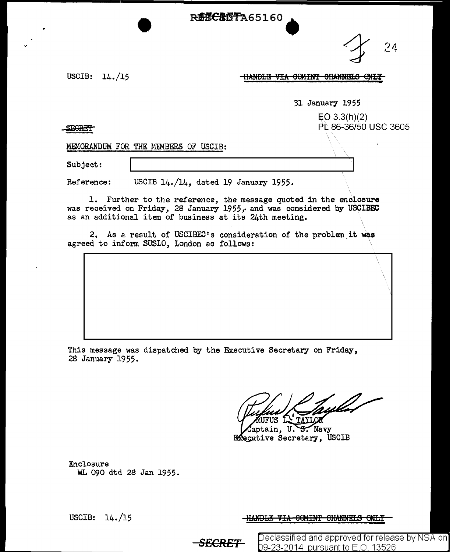**R62CR6TA65160** 

 $24$ 

USCIB: 14./15

**HANDLE VIA COMINT CHANNELS ONLY** 

31 January 1955

 $E$ O 3.3(h)(2) PL.86-36/50 USC 3605

**SEGRET** 

MEMORANDUM FOR THE MEMBERS OF USCIB:

Subject:

Reference: USCIB 14./14, dated 19 January 1955.

1. Further to the reference, the message quoted in the enclosure was received on Friday, 28 January  $1955$ , and was considered by USCIBEC as an additional item of business at its 24th meeting.

2. As a result of USCIBEC's consideration of the problem it was agreed to inform SUSLO, London as follows:

This message was dispatched by the Executive Secretary on Friday, 2S January 1955.

RUFUS LA TAYLOR

aptain, U. S. Navy Executive Secretary, USCIB

Enclosure WL 090 dtd 28 Jan 1955.

USCIB: 14./15 HANDLE VIA 6CMINT OHANNELS ONLY

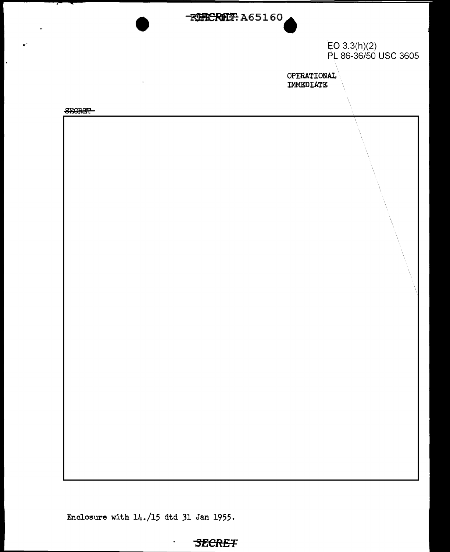

EO 3.3(h)(2) PL 86-36/50 USC 3605

OPERATIONAL IMMEDIATE

**SEGRET** 

 $\mathbf{r}$ 

 $\ddot{\phantom{a}}$ 



Enclosure with 14./15 dtd 31 Jan 1955.

 $\blacksquare$ 

## **SECRET**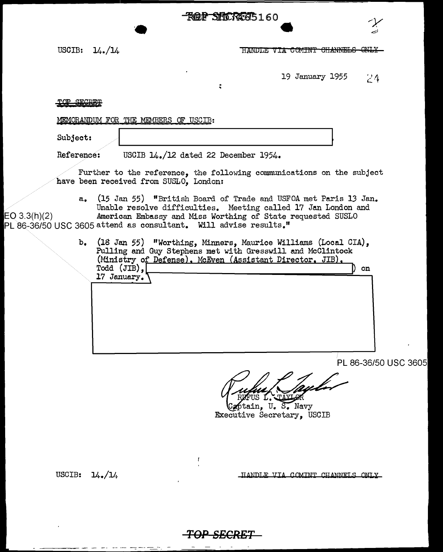**ROP SHOREG5160** 

USCIB:  $14.14$ 

HANDLE VIA COMINT CHANNELS ONLY

19 January 1955  $24$ 

## TOP SECRET

MEMORANDUM FOR THE MEMBERS OF USCIB:

 $\bullet$ 

Subject:

Reference: USCIB 14./12 dated 22 December 1954.

Further to the reference, the following communications on the subject been received from SUSLO, London:

 $\ddot{\cdot}$ 

a. (15 Jan 55) "British Board of Trade and USFOA met Paris 13 Jan. Unable resolve difficulties. Meeting called 17 Jan London and 3.3(h)(2) American Embassy and Miss Worthing of State requested SUSLO PL 86-36/50 USC 3605 attend as consultant. Will advise results."

> b. (18 Jan 55) "Worthing, Minners, Maurice Williams (Local CIA), Pulling and Guy Stephens met with Gresswill and McClintock (Ministry of Defense), McEven (Assistant Director, JIB), Todd (JIB), ) on 17 January.

> > PL 86-36/50 USC

ptain. U. S. Navy Executive Secretary, USCIB

USCIB:  $14.1/$ 

HANDLE VIA COMINT CHANNELS ONLY



 $\mathbf{f}$